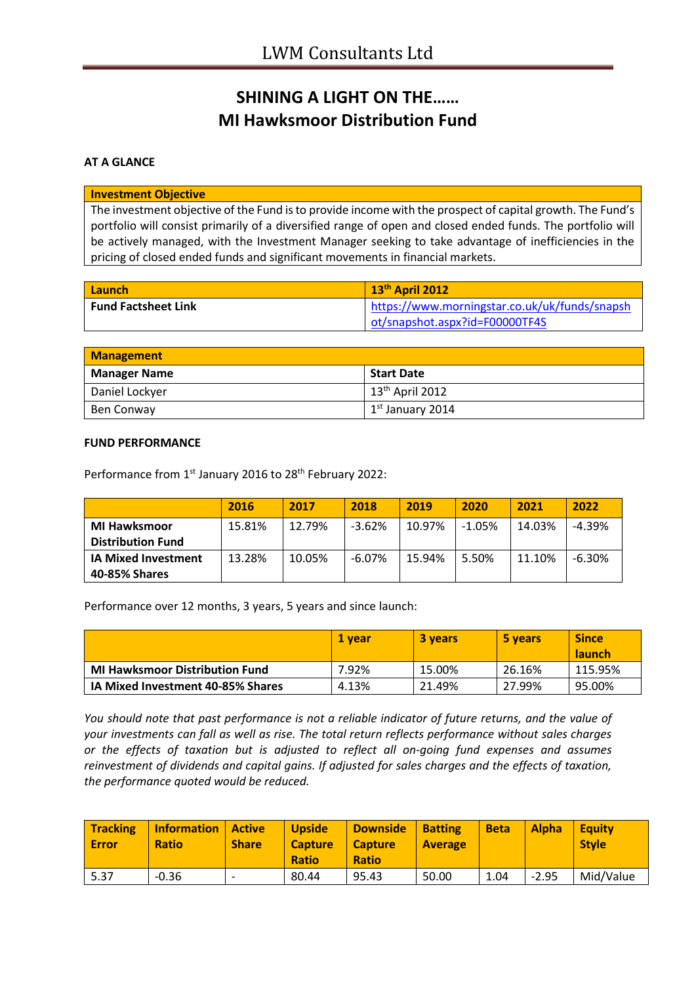# **SHINING A LIGHT ON THE…… MI Hawksmoor Distribution Fund**

### **AT A GLANCE**

#### **Investment Objective**

The investment objective of the Fund is to provide income with the prospect of capital growth. The Fund's portfolio will consist primarily of a diversified range of open and closed ended funds. The portfolio will be actively managed, with the Investment Manager seeking to take advantage of inefficiencies in the pricing of closed ended funds and significant movements in financial markets.

| <b>Launch</b>              | 13 <sup>th</sup> April 2012                   |
|----------------------------|-----------------------------------------------|
| <b>Fund Factsheet Link</b> | https://www.morningstar.co.uk/uk/funds/snapsh |
|                            | ot/snapshot.aspx?id=F00000TF4S                |

| <b>Management</b>   |                             |  |
|---------------------|-----------------------------|--|
| <b>Manager Name</b> | <b>Start Date</b>           |  |
| Daniel Lockyer      | 13 <sup>th</sup> April 2012 |  |
| Ben Conway          | $1st$ January 2014          |  |

#### **FUND PERFORMANCE**

Performance from 1<sup>st</sup> January 2016 to 28<sup>th</sup> February 2022:

|                            | 2016   | 2017   | 2018     | 2019   | 2020     | 2021   | 2022      |
|----------------------------|--------|--------|----------|--------|----------|--------|-----------|
| <b>MI Hawksmoor</b>        | 15.81% | 12.79% | $-3.62%$ | 10.97% | $-1.05%$ | 14.03% | $-4.39%$  |
| <b>Distribution Fund</b>   |        |        |          |        |          |        |           |
| <b>IA Mixed Investment</b> | 13.28% | 10.05% | $-6.07%$ | 15.94% | 5.50%    | 11.10% | $-6.30\%$ |
| 40-85% Shares              |        |        |          |        |          |        |           |

Performance over 12 months, 3 years, 5 years and since launch:

|                                       | 1 vear | <b>3 years</b> | 5 years | <b>Since</b><br><b>launch</b> |
|---------------------------------------|--------|----------------|---------|-------------------------------|
| <b>MI Hawksmoor Distribution Fund</b> | 7.92%  | 15.00%         | 26.16%  | 115.95%                       |
| IA Mixed Investment 40-85% Shares     | 4.13%  | 21.49%         | 27.99%  | 95.00%                        |

*You should note that past performance is not a reliable indicator of future returns, and the value of your investments can fall as well as rise. The total return reflects performance without sales charges or the effects of taxation but is adjusted to reflect all on-going fund expenses and assumes reinvestment of dividends and capital gains. If adjusted for sales charges and the effects of taxation, the performance quoted would be reduced.*

| <b>Tracking</b><br><b>Error</b> | <b>Information</b><br><b>Ratio</b> | <b>Active</b><br><b>Share</b> | <b>Upside</b><br><b>Capture</b><br><b>Ratio</b> | <b>Downside</b><br><b>Capture</b><br><b>Ratio</b> | <b>Batting</b><br><b>Average</b> | <b>Beta</b> | <b>Alpha</b> | <b>Equity</b><br><b>Style</b> |
|---------------------------------|------------------------------------|-------------------------------|-------------------------------------------------|---------------------------------------------------|----------------------------------|-------------|--------------|-------------------------------|
| 5.37                            | $-0.36$                            | $\overline{\phantom{a}}$      | 80.44                                           | 95.43                                             | 50.00                            | 1.04        | $-2.95$      | Mid/Value                     |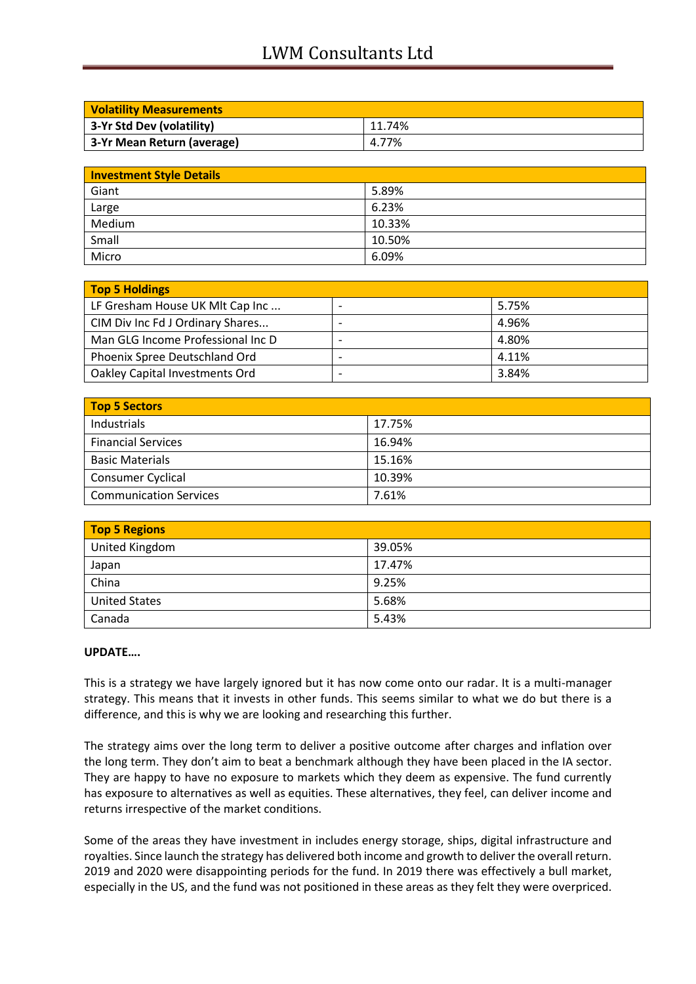## LWM Consultants Ltd

| <b>Volatility Measurements</b> |        |
|--------------------------------|--------|
| 3-Yr Std Dev (volatility)      | 11.74% |
| 3-Yr Mean Return (average)     | 4.77%  |

| <b>Investment Style Details</b> |        |
|---------------------------------|--------|
| Giant                           | 5.89%  |
| Large                           | 6.23%  |
| Medium                          | 10.33% |
| Small                           | 10.50% |
| Micro                           | 6.09%  |

| Top 5 Holdings                    |       |
|-----------------------------------|-------|
| LF Gresham House UK MIt Cap Inc   | 5.75% |
| CIM Div Inc Fd J Ordinary Shares  | 4.96% |
| Man GLG Income Professional Inc D | 4.80% |
| Phoenix Spree Deutschland Ord     | 4.11% |
| Oakley Capital Investments Ord    | 3.84% |

| <b>Top 5 Sectors</b>          |        |
|-------------------------------|--------|
| Industrials                   | 17.75% |
| <b>Financial Services</b>     | 16.94% |
| <b>Basic Materials</b>        | 15.16% |
| <b>Consumer Cyclical</b>      | 10.39% |
| <b>Communication Services</b> | 7.61%  |

| <b>Top 5 Regions</b> |        |  |
|----------------------|--------|--|
| United Kingdom       | 39.05% |  |
| Japan                | 17.47% |  |
| China                | 9.25%  |  |
| <b>United States</b> | 5.68%  |  |
| Canada               | 5.43%  |  |

#### **UPDATE….**

This is a strategy we have largely ignored but it has now come onto our radar. It is a multi-manager strategy. This means that it invests in other funds. This seems similar to what we do but there is a difference, and this is why we are looking and researching this further.

The strategy aims over the long term to deliver a positive outcome after charges and inflation over the long term. They don't aim to beat a benchmark although they have been placed in the IA sector. They are happy to have no exposure to markets which they deem as expensive. The fund currently has exposure to alternatives as well as equities. These alternatives, they feel, can deliver income and returns irrespective of the market conditions.

Some of the areas they have investment in includes energy storage, ships, digital infrastructure and royalties. Since launch the strategy has delivered both income and growth to deliver the overall return. 2019 and 2020 were disappointing periods for the fund. In 2019 there was effectively a bull market, especially in the US, and the fund was not positioned in these areas as they felt they were overpriced.